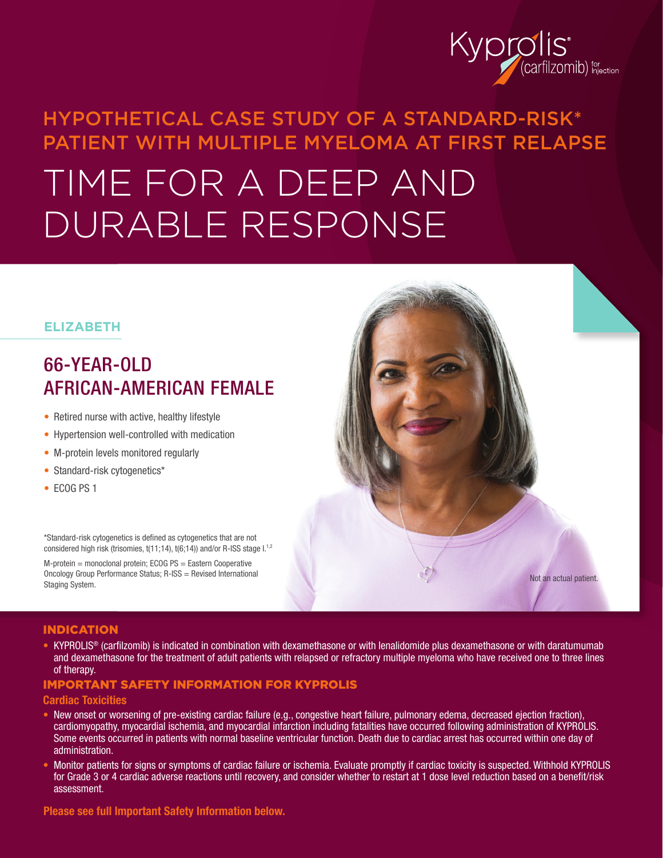

# TIME FOR A DEEP AND DURABLE RESPONSE HYPOTHETICAL CASE STUDY OF A STANDARD-RISK\* PATIENT WITH MULTIPLE MYELOMA AT FIRST RELAPSE

#### **ELIZABETH**

### 66-YEAR-OLD AFRICAN-AMERICAN FEMALE

- Retired nurse with active, healthy lifestyle
- Hypertension well-controlled with medication
- M-protein levels monitored regularly
- Standard-risk cytogenetics\*
- ECOG PS 1



\*Standard-risk cytogenetics is defined as cytogenetics that are not considered high risk (trisomies,  $t(11;14)$ ,  $t(6;14)$ ) and/or R-ISS stage  $L^{1,2}$ 

 $M$ -protein = monoclonal protein; ECOG PS = Eastern Cooperative Oncology Group Performance Status; R-ISS = Revised International<br>Staging System.

### INDICATION

• KYPROLIS® (carfilzomib) is indicated in combination with dexamethasone or with lenalidomide plus dexamethasone or with daratumumab and dexamethasone for the treatment of adult patients with relapsed or refractory multiple myeloma who have received one to three lines of therapy.

#### IMPORTANT SAFETY INFORMATION FOR KYPROLIS

#### Cardiac Toxicities

- New onset or worsening of pre-existing cardiac failure (e.g., congestive heart failure, pulmonary edema, decreased ejection fraction), cardiomyopathy, myocardial ischemia, and myocardial infarction including fatalities have occurred following administration of KYPROLIS. Some events occurred in patients with normal baseline ventricular function. Death due to cardiac arrest has occurred within one day of administration.
- Monitor patients for signs or symptoms of cardiac failure or ischemia. Evaluate promptly if cardiac toxicity is suspected. Withhold KYPROLIS for Grade 3 or 4 cardiac adverse reactions until recovery, and consider whether to restart at 1 dose level reduction based on a benefit/risk assessment.

#### Please see full Important Safety Information below.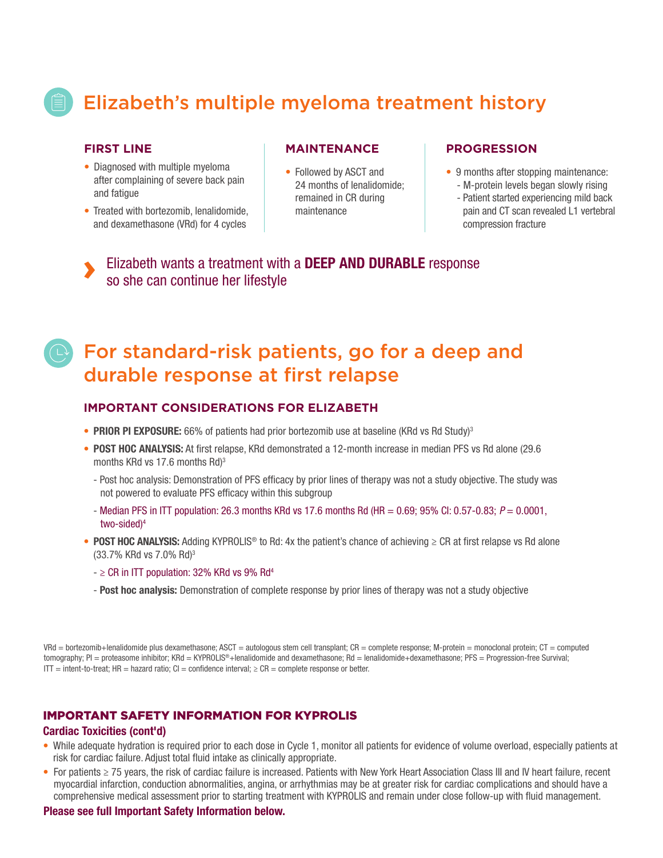### Elizabeth's multiple myeloma treatment history

#### **FIRST LINE**

- Diagnosed with multiple myeloma after complaining of severe back pain and fatigue
- Treated with bortezomib, lenalidomide, and dexamethasone (VRd) for 4 cycles

#### **MAINTENANCE**

• Followed by ASCT and 24 months of lenalidomide; remained in CR during maintenance

#### **PROGRESSION**

- 9 months after stopping maintenance:
	- M-protein levels began slowly rising
	- Patient started experiencing mild back pain and CT scan revealed L1 vertebral compression fracture

## Elizabeth wants a treatment with a DEEP AND DURABLE response **›** so she can continue her lifestyle

### For standard-risk patients, go for a deep and durable response at first relapse

#### **IMPORTANT CONSIDERATIONS FOR ELIZABETH**

- PRIOR PI EXPOSURE: 66% of patients had prior bortezomib use at baseline (KRd vs Rd Study)<sup>3</sup>
- POST HOC ANALYSIS: At first relapse, KRd demonstrated a 12-month increase in median PFS vs Rd alone (29.6) months KRd vs 17.6 months Rd<sup>3</sup>
	- Post hoc analysis: Demonstration of PFS efficacy by prior lines of therapy was not a study objective. The study was not powered to evaluate PFS efficacy within this subgroup
	- Median PFS in ITT population: 26.3 months KRd vs 17.6 months Rd (HR = 0.69; 95% CI: 0.57-0.83; *P* = 0.0001, two-sided)4
- POST HOC ANALYSIS: Adding KYPROLIS® to Rd: 4x the patient's chance of achieving ≥ CR at first relapse vs Rd alone (33.7% KRd vs 7.0% Rd)3
	- $\geq$  CR in ITT population: 32% KRd vs 9% Rd<sup>4</sup>
	- Post hoc analysis: Demonstration of complete response by prior lines of therapy was not a study objective

VRd = bortezomib+lenalidomide plus dexamethasone; ASCT = autologous stem cell transplant; CR = complete response; M-protein = monoclonal protein; CT = computed tomography; PI = proteasome inhibitor; KRd = KYPROLIS®+lenalidomide and dexamethasone; Rd = lenalidomide+dexamethasone; PFS = Progression-free Survival;  $IT =$  intent-to-treat; HR = hazard ratio; CI = confidence interval;  $\geq$  CR = complete response or better.

#### IMPORTANT SAFETY INFORMATION FOR KYPROLIS

#### Cardiac Toxicities (cont'd)

- While adequate hydration is required prior to each dose in Cycle 1, monitor all patients for evidence of volume overload, especially patients at risk for cardiac failure. Adjust total fluid intake as clinically appropriate.
- For patients ≥ 75 years, the risk of cardiac failure is increased. Patients with New York Heart Association Class III and IV heart failure, recent myocardial infarction, conduction abnormalities, angina, or arrhythmias may be at greater risk for cardiac complications and should have a comprehensive medical assessment prior to starting treatment with KYPROLIS and remain under close follow-up with fluid management.

#### Please see full Important Safety Information below.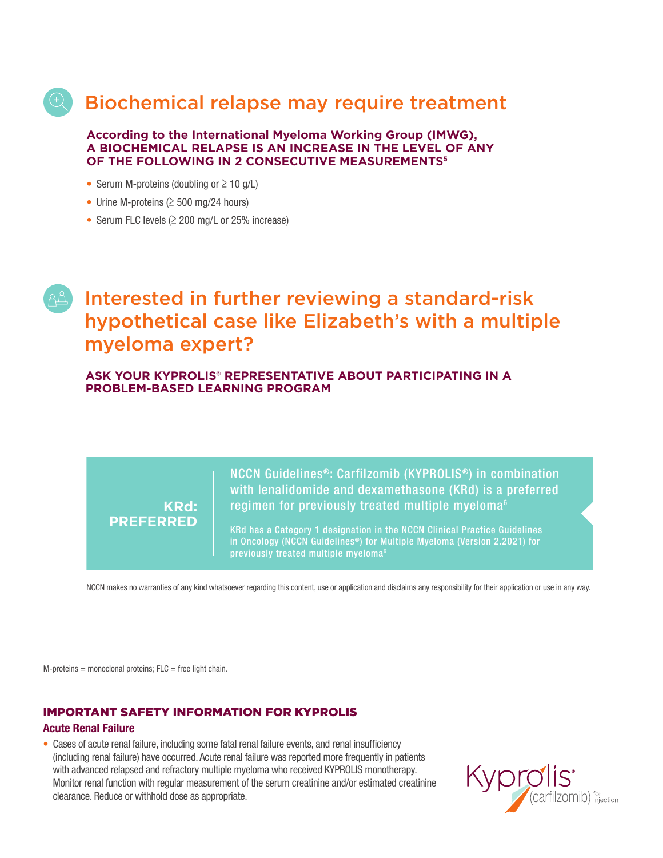### Biochemical relapse may require treatment

#### **According to the International Myeloma Working Group (IMWG), A BIOCHEMICAL RELAPSE IS AN INCREASE IN THE LEVEL OF ANY OF THE FOLLOWING IN 2 CONSECUTIVE MEASUREMENTS5**

- Serum M-proteins (doubling or  $\geq 10$  g/L)
- Urine M-proteins (≥ 500 mg/24 hours)
- Serum FLC levels (≥ 200 mg/L or 25% increase)

### Interested in further reviewing a standard-risk hypothetical case like Elizabeth's with a multiple myeloma expert?

**ASK YOUR KYPROLIS® REPRESENTATIVE ABOUT PARTICIPATING IN A PROBLEM-BASED LEARNING PROGRAM**

**KRd: PREFERRED**

NCCN Guidelines®: Carfilzomib (KYPROLIS®) in combination with lenalidomide and dexamethasone (KRd) is a preferred regimen for previously treated multiple myeloma $6$ 

KRd has a Category 1 designation in the NCCN Clinical Practice Guidelines in Oncology (NCCN Guidelines®) for Multiple Myeloma (Version 2.2021) for previously treated multiple myeloma<sup>6</sup>

NCCN makes no warranties of any kind whatsoever regarding this content, use or application and disclaims any responsibility for their application or use in any way.

 $M$ -proteins = monoclonal proteins;  $FLC$  = free light chain.

#### IMPORTANT SAFETY INFORMATION FOR KYPROLIS

#### Acute Renal Failure

• Cases of acute renal failure, including some fatal renal failure events, and renal insufficiency (including renal failure) have occurred. Acute renal failure was reported more frequently in patients with advanced relapsed and refractory multiple myeloma who received KYPROLIS monotherapy. Monitor renal function with regular measurement of the serum creatinine and/or estimated creatinine clearance. Reduce or withhold dose as appropriate.

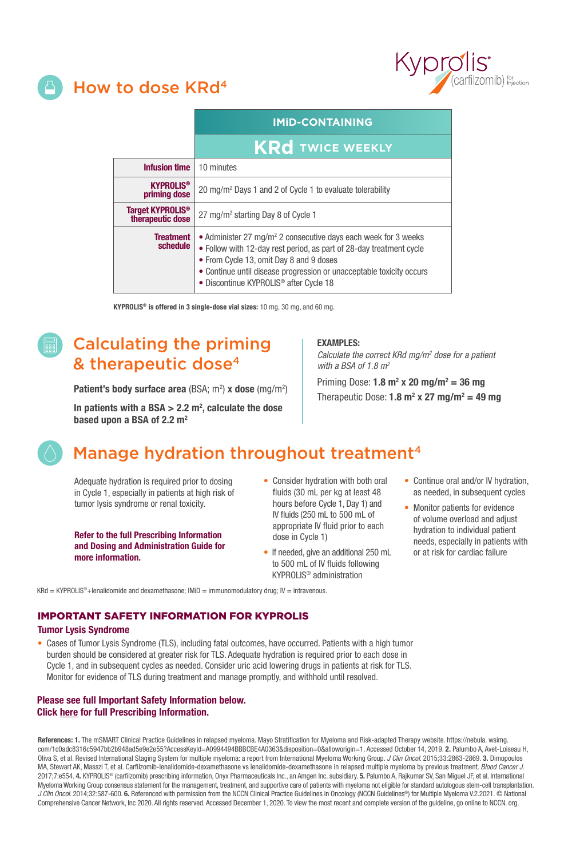

## How to dose KRd4

### **IMiD-CONTAINING**

|                                                  | <b>KRd TWICE WEEKLY</b>                                                                                                                                                                                                                                                                                                    |
|--------------------------------------------------|----------------------------------------------------------------------------------------------------------------------------------------------------------------------------------------------------------------------------------------------------------------------------------------------------------------------------|
| <b>Infusion time</b>                             | 10 minutes                                                                                                                                                                                                                                                                                                                 |
| <b>KYPROLIS<sup>®</sup></b><br>priming dose      | 20 mg/m <sup>2</sup> Days 1 and 2 of Cycle 1 to evaluate tolerability                                                                                                                                                                                                                                                      |
| Target KYPROLIS <sup>®</sup><br>therapeutic dose | 27 mg/m <sup>2</sup> starting Day 8 of Cycle 1                                                                                                                                                                                                                                                                             |
| <b>Treatment</b><br>schedule                     | • Administer 27 mg/m <sup>2</sup> 2 consecutive days each week for 3 weeks<br>• Follow with 12-day rest period, as part of 28-day treatment cycle<br>• From Cycle 13, omit Day 8 and 9 doses<br>• Continue until disease progression or unacceptable toxicity occurs<br>• Discontinue KYPROLIS <sup>®</sup> after Cycle 18 |

KYPROLIS® is offered in 3 single-dose vial sizes: 10 mg, 30 mg, and 60 mg.

### Calculating the priming & therapeutic dose4

Patient's body surface area (BSA; m<sup>2</sup>) x dose (mg/m<sup>2</sup>) Therapeutic Dose: **1.8 m<sup>2</sup> x 27 mg/m<sup>2</sup> = 49 mg** 

In patients with a BSA  $> 2.2$  m<sup>2</sup>, calculate the dose based upon a BSA of 2.2 m<sup>2</sup>

### Manage hydration throughout treatment<sup>4</sup>

Adequate hydration is required prior to dosing in Cycle 1, especially in patients at high risk of tumor lysis syndrome or renal toxicity.

Refer to the full Prescribing Information and Dosing and Administration Guide for more information.

• Consider hydration with both oral fluids (30 mL per kg at least 48 hours before Cycle 1, Day 1) and IV fluids (250 mL to 500 mL of appropriate IV fluid prior to each dose in Cycle 1)

EXAMPLES:

*with a BSA of 1.8 m2*

*Calculate the correct KRd mg/m2 dose for a patient* 

Priming Dose:  $1.8 \text{ m}^2 \times 20 \text{ mg/m}^2 = 36 \text{ mg}$ Therapeutic Dose: **1.8 m<sup>2</sup> x 27 mg/m<sup>2</sup>** 

- If needed, give an additional 250 mL to 500 mL of IV fluids following KYPROLIS® administration
- Continue oral and/or IV hydration, as needed, in subsequent cycles
- Monitor patients for evidence of volume overload and adjust hydration to individual patient needs, especially in patients with or at risk for cardiac failure

 $K Rd = KYPROLIS<sup>®</sup> + lenalidomide and dexamethasone; IMiD = immunomodulatory drug; IV = intravenous.$ 

#### IMPORTANT SAFETY INFORMATION FOR KYPROLIS

#### Tumor Lysis Syndrome

• Cases of Tumor Lysis Syndrome (TLS), including fatal outcomes, have occurred. Patients with a high tumor burden should be considered at greater risk for TLS. Adequate hydration is required prior to each dose in Cycle 1, and in subsequent cycles as needed. Consider uric acid lowering drugs in patients at risk for TLS. Monitor for evidence of TLS during treatment and manage promptly, and withhold until resolved.

#### Please see full Important Safety Information below. Click [here](https://www.pi.amgen.com/~/media/amgen/repositorysites/pi-amgen-com/kyprolis/kyprolis_pi.pdf) for full Prescribing Information.

References: 1. The mSMART Clinical Practice Guidelines in relapsed myeloma. Mayo Stratification for Myeloma and Risk-adapted Therapy website. https://nebula. wsimg. com/1c0adc8316c5947bb2b948ad5e9e2e55?AccessKeyId=A0994494BBBCBE4A0363&disposition=0&alloworigin=1. Accessed October 14, 2019. 2. Palumbo A, Avet-Loiseau H, Oliva S, et al. Revised International Staging System for multiple myeloma: a report from International Myeloma Working Group. *J Clin Oncol*. 2015;33:2863-2869. 3. Dimopoulos MA, Stewart AK, Masszi T, et al. Carfilzomib-lenalidomide-dexamethasone vs lenalidomide-dexamethasone in relapsed multiple myeloma by previous treatment. *Blood Cancer J*. 2017;7:e554. 4. KYPROLIS® (carfilzomib) prescribing information, Onyx Pharmaceuticals Inc., an Amgen Inc. subsidiary. 5. Palumbo A, Rajkumar SV, San Miguel JF, et al. International Myeloma Working Group consensus statement for the management, treatment, and supportive care of patients with myeloma not eligible for standard autologous stem-cell transplantation. J Clin Oncol. 2014;32:587-600. 6. Referenced with permission from the NCCN Clinical Practice Guidelines in Oncology (NCCN Guidelines®) for Multiple Myeloma V.2.2021. © National Comprehensive Cancer Network, Inc 2020. All rights reserved. Accessed December 1, 2020. To view the most recent and complete version of the guideline, go online to NCCN. org.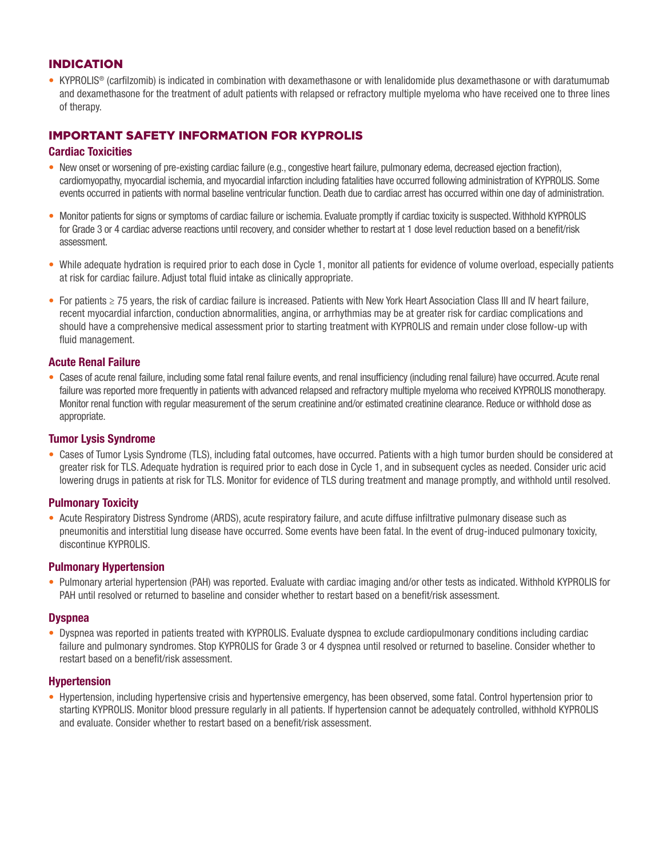#### INDICATION

• KYPROLIS® (carfilzomib) is indicated in combination with dexamethasone or with lenalidomide plus dexamethasone or with daratumumab and dexamethasone for the treatment of adult patients with relapsed or refractory multiple myeloma who have received one to three lines of therapy.

#### IMPORTANT SAFETY INFORMATION FOR KYPROLIS

#### Cardiac Toxicities

- New onset or worsening of pre-existing cardiac failure (e.g., congestive heart failure, pulmonary edema, decreased ejection fraction), cardiomyopathy, myocardial ischemia, and myocardial infarction including fatalities have occurred following administration of KYPROLIS. Some events occurred in patients with normal baseline ventricular function. Death due to cardiac arrest has occurred within one day of administration.
- Monitor patients for signs or symptoms of cardiac failure or ischemia. Evaluate promptly if cardiac toxicity is suspected. Withhold KYPROLIS for Grade 3 or 4 cardiac adverse reactions until recovery, and consider whether to restart at 1 dose level reduction based on a benefit/risk assessment.
- While adequate hydration is required prior to each dose in Cycle 1, monitor all patients for evidence of volume overload, especially patients at risk for cardiac failure. Adjust total fluid intake as clinically appropriate.
- For patients ≥ 75 years, the risk of cardiac failure is increased. Patients with New York Heart Association Class III and IV heart failure, recent myocardial infarction, conduction abnormalities, angina, or arrhythmias may be at greater risk for cardiac complications and should have a comprehensive medical assessment prior to starting treatment with KYPROLIS and remain under close follow-up with fluid management.

#### Acute Renal Failure

• Cases of acute renal failure, including some fatal renal failure events, and renal insufficiency (including renal failure) have occurred. Acute renal failure was reported more frequently in patients with advanced relapsed and refractory multiple myeloma who received KYPROLIS monotherapy. Monitor renal function with regular measurement of the serum creatinine and/or estimated creatinine clearance. Reduce or withhold dose as appropriate.

#### Tumor Lysis Syndrome

• Cases of Tumor Lysis Syndrome (TLS), including fatal outcomes, have occurred. Patients with a high tumor burden should be considered at greater risk for TLS. Adequate hydration is required prior to each dose in Cycle 1, and in subsequent cycles as needed. Consider uric acid lowering drugs in patients at risk for TLS. Monitor for evidence of TLS during treatment and manage promptly, and withhold until resolved.

#### Pulmonary Toxicity

• Acute Respiratory Distress Syndrome (ARDS), acute respiratory failure, and acute diffuse infiltrative pulmonary disease such as pneumonitis and interstitial lung disease have occurred. Some events have been fatal. In the event of drug-induced pulmonary toxicity, discontinue KYPROLIS.

#### Pulmonary Hypertension

• Pulmonary arterial hypertension (PAH) was reported. Evaluate with cardiac imaging and/or other tests as indicated. Withhold KYPROLIS for PAH until resolved or returned to baseline and consider whether to restart based on a benefit/risk assessment.

#### **Dyspnea**

• Dyspnea was reported in patients treated with KYPROLIS. Evaluate dyspnea to exclude cardiopulmonary conditions including cardiac failure and pulmonary syndromes. Stop KYPROLIS for Grade 3 or 4 dyspnea until resolved or returned to baseline. Consider whether to restart based on a benefit/risk assessment.

#### Hypertension

• Hypertension, including hypertensive crisis and hypertensive emergency, has been observed, some fatal. Control hypertension prior to starting KYPROLIS. Monitor blood pressure regularly in all patients. If hypertension cannot be adequately controlled, withhold KYPROLIS and evaluate. Consider whether to restart based on a benefit/risk assessment.